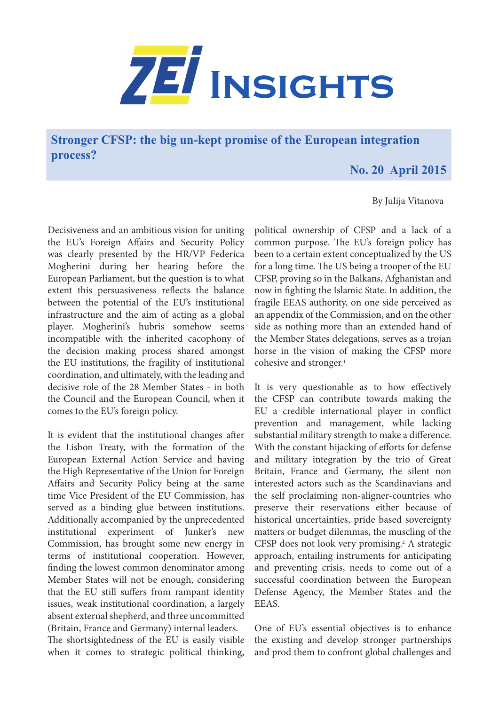

**Stronger CFSP: the big un-kept promise of the European integration process?**

## **No. 20 April 2015**

## By Julija Vitanova

Decisiveness and an ambitious vision for uniting the EU's Foreign Affairs and Security Policy was clearly presented by the HR/VP Federica Mogherini during her hearing before the European Parliament, but the question is to what extent this persuasiveness reflects the balance between the potential of the EU's institutional infrastructure and the aim of acting as a global player. Mogherini's hubris somehow seems incompatible with the inherited cacophony of the decision making process shared amongst the EU institutions, the fragility of institutional coordination, and ultimately, with the leading and decisive role of the 28 Member States - in both the Council and the European Council, when it comes to the EU's foreign policy.

It is evident that the institutional changes after the Lisbon Treaty, with the formation of the European External Action Service and having the High Representative of the Union for Foreign Affairs and Security Policy being at the same time Vice President of the EU Commission, has served as a binding glue between institutions. Additionally accompanied by the unprecedented institutional experiment of Junker's new Commission, has brought some new energy in terms of institutional cooperation. However, finding the lowest common denominator among Member States will not be enough, considering that the EU still suffers from rampant identity issues, weak institutional coordination, a largely absent external shepherd, and three uncommitted (Britain, France and Germany) internal leaders.

The shortsightedness of the EU is easily visible when it comes to strategic political thinking,

political ownership of CFSP and a lack of a common purpose. The EU's foreign policy has been to a certain extent conceptualized by the US for a long time. The US being a trooper of the EU CFSP, proving so in the Balkans, Afghanistan and now in fighting the Islamic State. In addition, the fragile EEAS authority, on one side perceived as an appendix of the Commission, and on the other side as nothing more than an extended hand of the Member States delegations, serves as a trojan horse in the vision of making the CFSP more cohesive and stronger.<sup>1</sup>

It is very questionable as to how effectively the CFSP can contribute towards making the EU a credible international player in conflict prevention and management, while lacking substantial military strength to make a difference. With the constant hijacking of efforts for defense and military integration by the trio of Great Britain, France and Germany, the silent non interested actors such as the Scandinavians and the self proclaiming non-aligner-countries who preserve their reservations either because of historical uncertainties, pride based sovereignty matters or budget dilemmas, the muscling of the CFSP does not look very promising.<sup>2</sup> A strategic approach, entailing instruments for anticipating and preventing crisis, needs to come out of a successful coordination between the European Defense Agency, the Member States and the EEAS.

One of EU's essential objectives is to enhance the existing and develop stronger partnerships and prod them to confront global challenges and